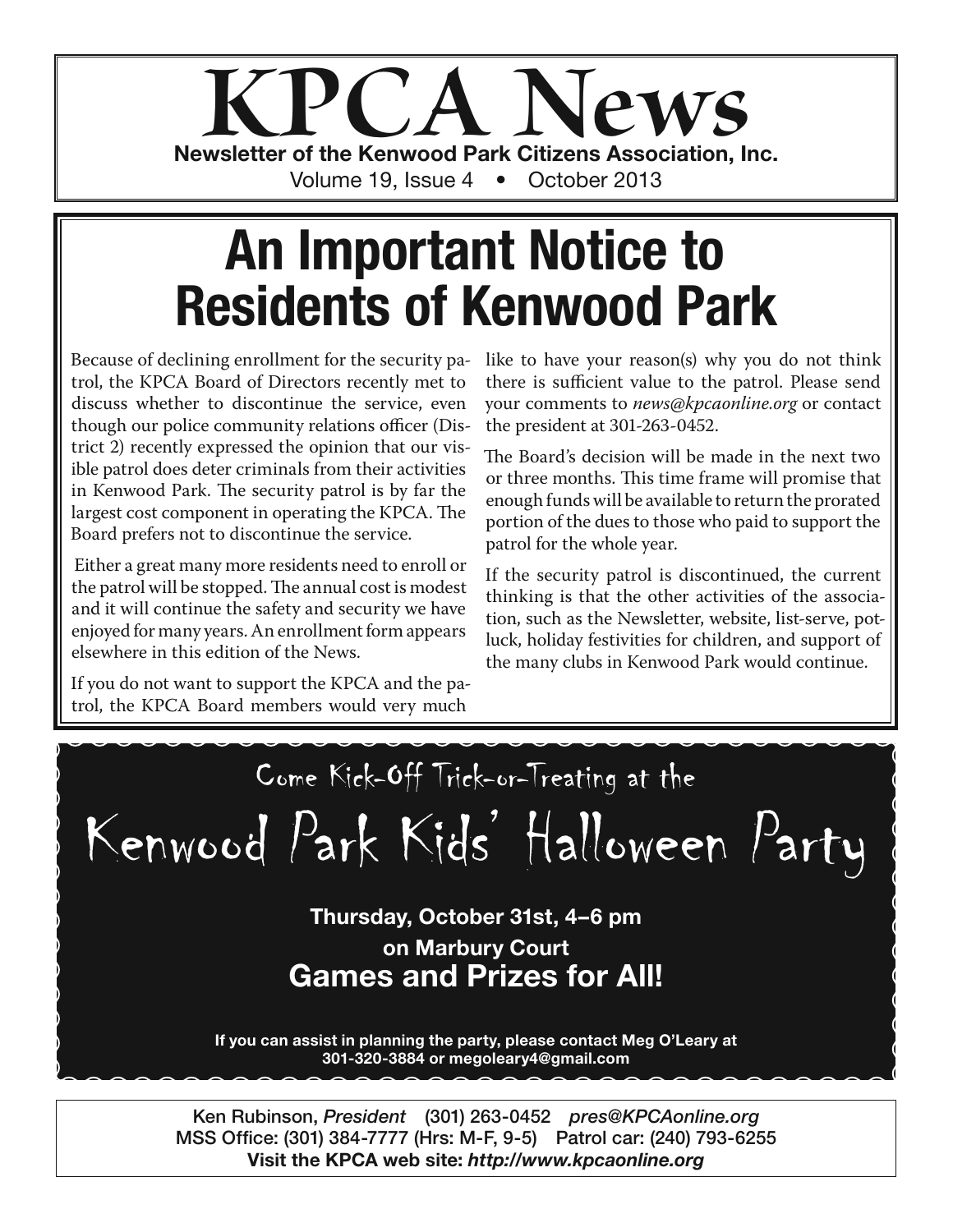

## **An Important Notice to Residents of Kenwood Park**

Because of declining enrollment for the security patrol, the KPCA Board of Directors recently met to discuss whether to discontinue the service, even though our police community relations officer (District 2) recently expressed the opinion that our visible patrol does deter criminals from their activities in Kenwood Park. The security patrol is by far the largest cost component in operating the KPCA. The Board prefers not to discontinue the service.

 Either a great many more residents need to enroll or the patrol will be stopped. The annual cost is modest and it will continue the safety and security we have enjoyed for many years. An enrollment form appears elsewhere in this edition of the News.

If you do not want to support the KPCA and the patrol, the KPCA Board members would very much

like to have your reason(s) why you do not think there is sufficient value to the patrol. Please send your comments to *news@kpcaonline.org* or contact the president at 301-263-0452.

The Board's decision will be made in the next two or three months. This time frame will promise that enough funds will be available to return the prorated portion of the dues to those who paid to support the patrol for the whole year.

If the security patrol is discontinued, the current thinking is that the other activities of the association, such as the Newsletter, website, list-serve, potluck, holiday festivities for children, and support of the many clubs in Kenwood Park would continue.

Come Kick-Off Trick-or-Treating at the Kenwood Park Kids' Halloween Party **Thursday, October 31st, 4–6 pm on Marbury Court Games and Prizes for All! If you can assist in planning the party, please contact Meg O'Leary at 301-320-3884 or megoleary4@gmail.com**

**Ken Rubinson,** *President* **(301) 263-0452** *pres@KPCAonline.org* **MSS Office: (301) 384-7777 (Hrs: M-F, 9-5) Patrol car: (240) 793-6255 Visit the KPCA web site:** *http://www.kpcaonline.org*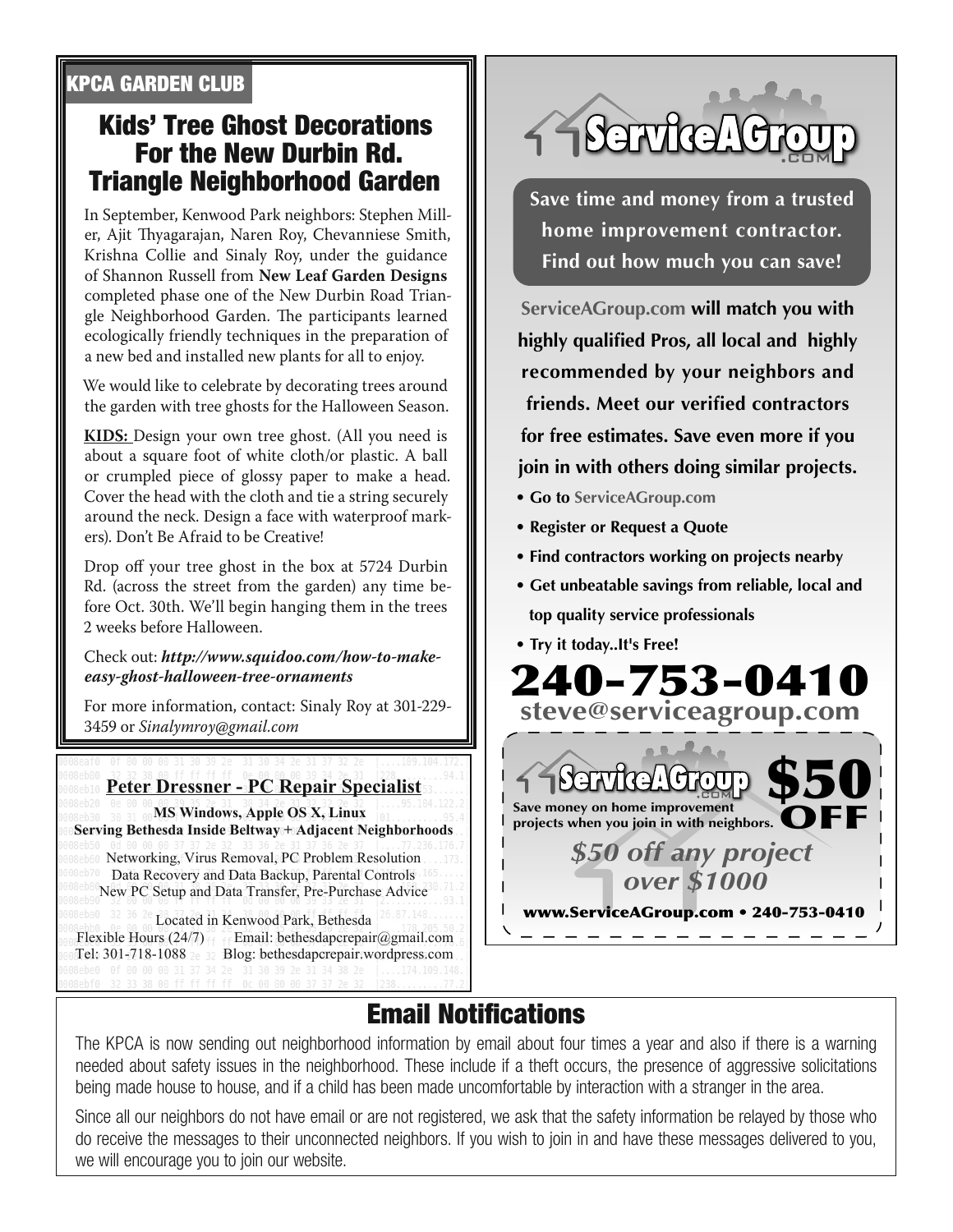#### **KPCA GARDEN CLUB**

#### **Kids' Tree Ghost Decorations For the New Durbin Rd. Triangle Neighborhood Garden**

In September, Kenwood Park neighbors: Stephen Miller, Ajit Thyagarajan, Naren Roy, Chevanniese Smith, Krishna Collie and Sinaly Roy, under the guidance of Shannon Russell from **New Leaf Garden Designs** completed phase one of the New Durbin Road Triangle Neighborhood Garden. The participants learned ecologically friendly techniques in the preparation of a new bed and installed new plants for all to enjoy.

We would like to celebrate by decorating trees around the garden with tree ghosts for the Halloween Season.

**KIDS:** Design your own tree ghost. (All you need is about a square foot of white cloth/or plastic. A ball or crumpled piece of glossy paper to make a head. Cover the head with the cloth and tie a string securely around the neck. Design a face with waterproof markers). Don't Be Afraid to be Creative!

Drop off your tree ghost in the box at 5724 Durbin Rd. (across the street from the garden) any time before Oct. 30th. We'll begin hanging them in the trees 2 weeks before Halloween.

Check out: *http://www.squidoo.com/how-to-makeeasy-ghost-halloween-tree-ornaments*

For more information, contact: Sinaly Roy at 301-229- 3459 or *Sinalymroy@gmail.com*

#### **Rebis Peter Dressner - PC Repair Specialist**

**MS Windows, Apple OS X, Linux Serving Bethesda Inside Beltway + Adjacent Neighborhoods** 

Networking, Virus Removal, PC Problem Resolution Data Recovery and Data Backup, Parental Controls New PC Setup and Data Transfer, Pre-Purchase Advice

Located in Kenwood Park, Bethesda Flexible Hours  $(24/7)$  Email: bethesdapcrepair@gmail.com Tel: 301-718-1088 2e 32 Blog: bethesdapcrepair.wordpress.com



**Save time and money from a trusted home improvement contractor. Find out how much you can save!**

**ServiceAGroup.com will match you with highly qualified Pros, all local and highly recommended by your neighbors and friends. Meet our verified contractors for free estimates. Save even more if you join in with others doing similar projects.**

- **Go to ServiceAGroup.com**
- **Register or Request a Quote**
- **Find contractors working on projects nearby**
- **Get unbeatable savings from reliable, local and top quality service professionals**
- **Try it today..It's Free!**



## **Email Notifications**

The KPCA is now sending out neighborhood information by email about four times a year and also if there is a warning needed about safety issues in the neighborhood. These include if a theft occurs, the presence of aggressive solicitations being made house to house, and if a child has been made uncomfortable by interaction with a stranger in the area.

Since all our neighbors do not have email or are not registered, we ask that the safety information be relayed by those who do receive the messages to their unconnected neighbors. If you wish to join in and have these messages delivered to you, we will encourage you to join our website.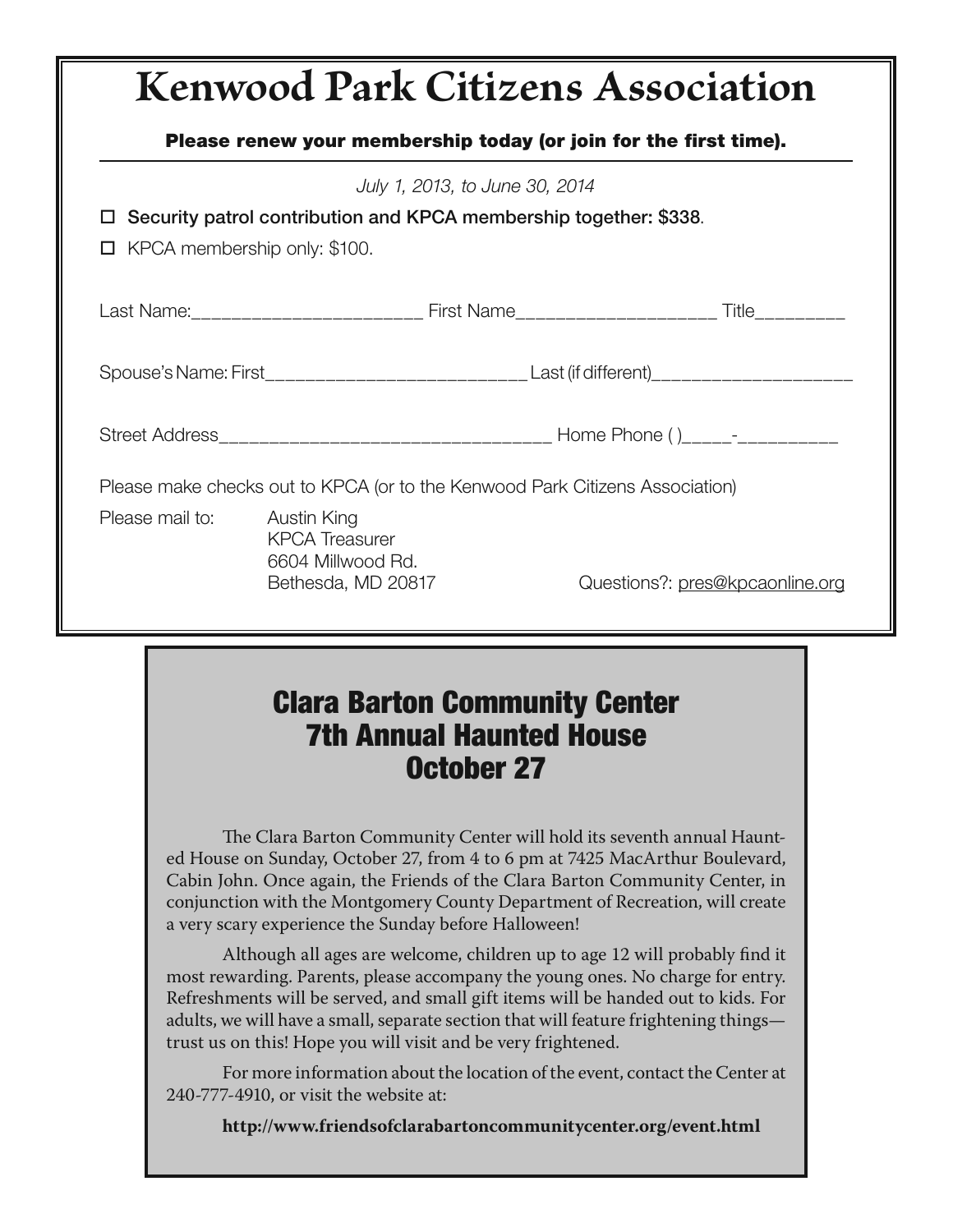## **Kenwood Park Citizens Association Please renew your membership today (or join for the first time).** July 1, 2013, to June 30, 2014 **Security patrol contribution and KPCA membership together: \$338**.  $\Box$  KPCA membership only: \$100. Last Name:\_\_\_\_\_\_\_\_\_\_\_\_\_\_\_\_\_\_\_\_\_\_\_ First Name\_\_\_\_\_\_\_\_\_\_\_\_\_\_\_\_\_\_\_\_ Title\_\_\_\_\_\_\_\_\_ Spouse's Name: First\_\_\_\_\_\_\_\_\_\_\_\_\_\_\_\_\_\_\_\_\_\_\_\_\_\_\_\_\_\_\_\_Last (if different)\_\_\_\_\_\_\_\_\_\_\_\_\_\_\_\_\_\_\_\_\_\_\_\_\_\_\_\_ Street Address\_\_\_\_\_\_\_\_\_\_\_\_\_\_\_\_\_\_\_\_\_\_\_\_\_\_\_\_\_\_\_\_\_ Home Phone ( )\_\_\_\_\_-\_\_\_\_\_\_\_\_\_\_ Please make checks out to KPCA (or to the Kenwood Park Citizens Association) Please mail to: Austin King KPCA Treasurer 6604 Millwood Rd. Bethesda, MD 20817 Questions?: pres@kpcaonline.org

## **Clara Barton Community Center 7th Annual Haunted House October 27**

The Clara Barton Community Center will hold its seventh annual Haunted House on Sunday, October 27, from 4 to 6 pm at 7425 MacArthur Boulevard, Cabin John. Once again, the Friends of the Clara Barton Community Center, in conjunction with the Montgomery County Department of Recreation, will create a very scary experience the Sunday before Halloween!

Although all ages are welcome, children up to age 12 will probably find it most rewarding. Parents, please accompany the young ones. No charge for entry. Refreshments will be served, and small gift items will be handed out to kids. For adults, we will have a small, separate section that will feature frightening things trust us on this! Hope you will visit and be very frightened.

For more information about the location of the event, contact the Center at 240-777-4910, or visit the website at:

**http://www.friendsofclarabartoncommunitycenter.org/event.html**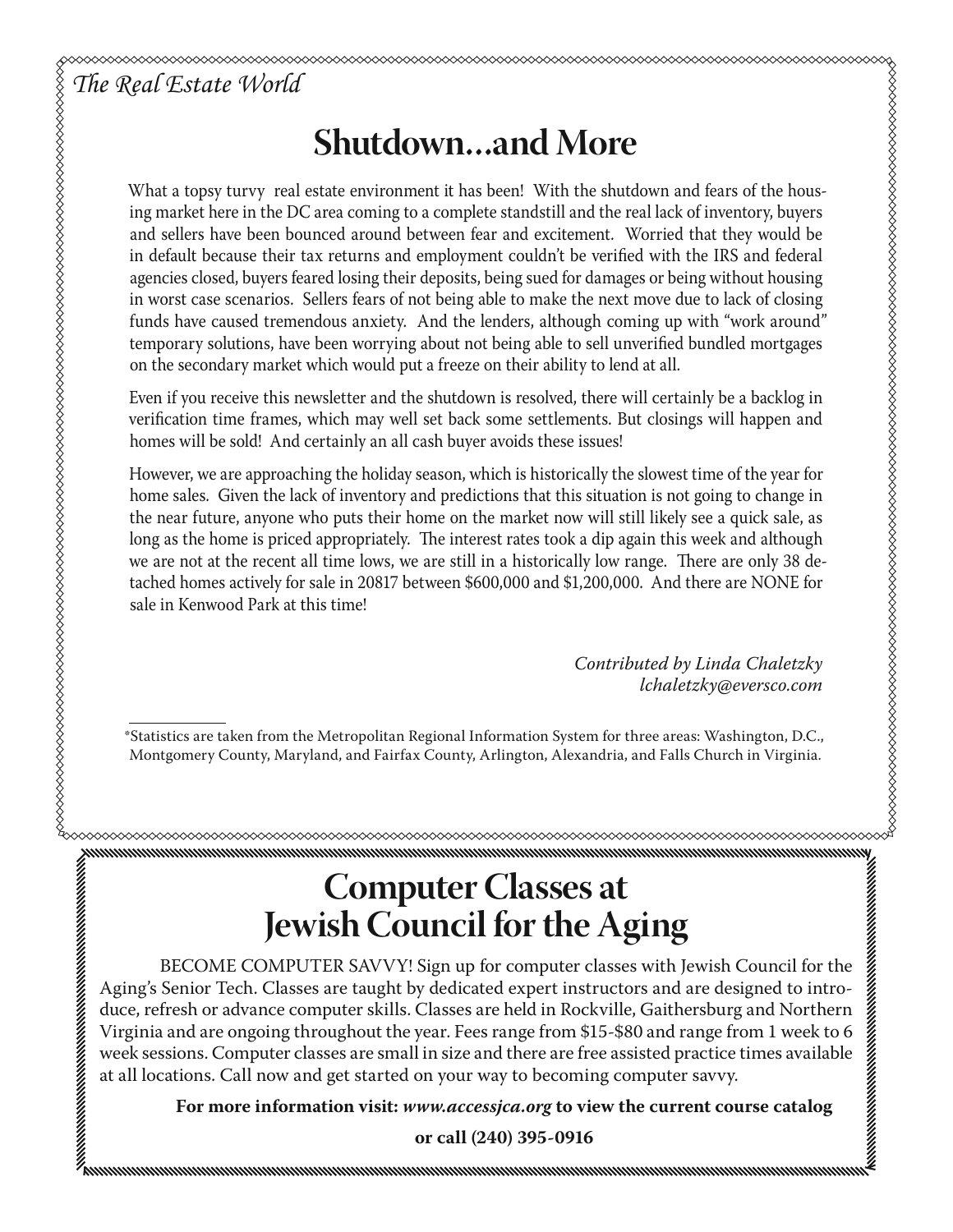## **Shutdown…and More**

*The Real Estate World*<br> *The Real Estate World*<br>
ing market here in the DC<br>
and sellers have been boot in default because their the DC<br>
agencies closed, buyers fee<br>
in worst case scenarios.<br>
funds have caused treme<br>
te What a topsy turvy real estate environment it has been! With the shutdown and fears of the housing market here in the DC area coming to a complete standstill and the real lack of inventory, buyers and sellers have been bounced around between fear and excitement. Worried that they would be in default because their tax returns and employment couldn't be verified with the IRS and federal agencies closed, buyers feared losing their deposits, being sued for damages or being without housing in worst case scenarios. Sellers fears of not being able to make the next move due to lack of closing funds have caused tremendous anxiety. And the lenders, although coming up with "work around" temporary solutions, have been worrying about not being able to sell unverified bundled mortgages on the secondary market which would put a freeze on their ability to lend at all.

Even if you receive this newsletter and the shutdown is resolved, there will certainly be a backlog in verification time frames, which may well set back some settlements. But closings will happen and homes will be sold! And certainly an all cash buyer avoids these issues!

However, we are approaching the holiday season, which is historically the slowest time of the year for home sales. Given the lack of inventory and predictions that this situation is not going to change in the near future, anyone who puts their home on the market now will still likely see a quick sale, as long as the home is priced appropriately. The interest rates took a dip again this week and although we are not at the recent all time lows, we are still in a historically low range. There are only 38 detached homes actively for sale in 20817 between \$600,000 and \$1,200,000. And there are NONE for sale in Kenwood Park at this time!

> *Contributed by Linda Chaletzky lchaletzky@eversco.com*

\*Statistics are taken from the Metropolitan Regional Information System for three areas: Washington, D.C., Montgomery County, Maryland, and Fairfax County, Arlington, Alexandria, and Falls Church in Virginia.

## **Computer Classes at Jewish Council for the Aging**

 BECOME COMPUTER SAVVY! Sign up for computer classes with Jewish Council for the Aging's Senior Tech. Classes are taught by dedicated expert instructors and are designed to introduce, refresh or advance computer skills. Classes are held in Rockville, Gaithersburg and Northern Virginia and are ongoing throughout the year. Fees range from \$15-\$80 and range from 1 week to 6 week sessions. Computer classes are small in size and there are free assisted practice times available at all locations. Call now and get started on your way to becoming computer savvy.

**For more information visit:** *www.accessjca.org* **to view the current course catalog** 

**or call (240) 395-0916**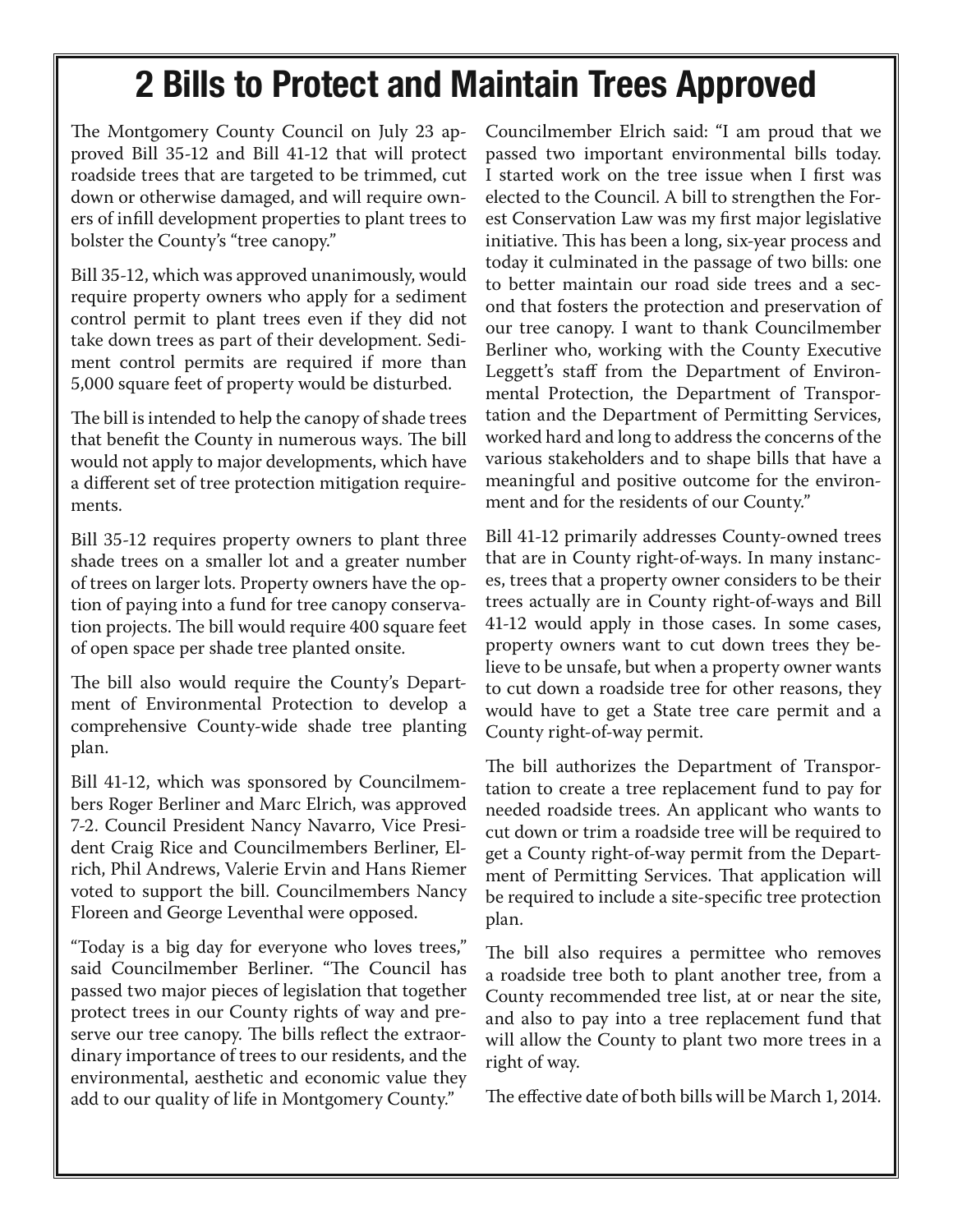## **2 Bills to Protect and Maintain Trees Approved**

The Montgomery County Council on July 23 approved Bill 35-12 and Bill 41-12 that will protect roadside trees that are targeted to be trimmed, cut down or otherwise damaged, and will require owners of infill development properties to plant trees to bolster the County's "tree canopy."

Bill 35-12, which was approved unanimously, would require property owners who apply for a sediment control permit to plant trees even if they did not take down trees as part of their development. Sediment control permits are required if more than 5,000 square feet of property would be disturbed.

The bill is intended to help the canopy of shade trees that benefit the County in numerous ways. The bill would not apply to major developments, which have a different set of tree protection mitigation requirements.

Bill 35-12 requires property owners to plant three shade trees on a smaller lot and a greater number of trees on larger lots. Property owners have the option of paying into a fund for tree canopy conservation projects. The bill would require 400 square feet of open space per shade tree planted onsite.

The bill also would require the County's Department of Environmental Protection to develop a comprehensive County-wide shade tree planting plan.

Bill 41-12, which was sponsored by Councilmembers Roger Berliner and Marc Elrich, was approved 7-2. Council President Nancy Navarro, Vice President Craig Rice and Councilmembers Berliner, Elrich, Phil Andrews, Valerie Ervin and Hans Riemer voted to support the bill. Councilmembers Nancy Floreen and George Leventhal were opposed.

"Today is a big day for everyone who loves trees," said Councilmember Berliner. "The Council has passed two major pieces of legislation that together protect trees in our County rights of way and preserve our tree canopy. The bills reflect the extraordinary importance of trees to our residents, and the environmental, aesthetic and economic value they add to our quality of life in Montgomery County."

Councilmember Elrich said: "I am proud that we passed two important environmental bills today. I started work on the tree issue when I first was elected to the Council. A bill to strengthen the Forest Conservation Law was my first major legislative initiative. This has been a long, six-year process and today it culminated in the passage of two bills: one to better maintain our road side trees and a second that fosters the protection and preservation of our tree canopy. I want to thank Councilmember Berliner who, working with the County Executive Leggett's staff from the Department of Environmental Protection, the Department of Transportation and the Department of Permitting Services, worked hard and long to address the concerns of the various stakeholders and to shape bills that have a meaningful and positive outcome for the environment and for the residents of our County."

Bill 41-12 primarily addresses County-owned trees that are in County right-of-ways. In many instances, trees that a property owner considers to be their trees actually are in County right-of-ways and Bill 41-12 would apply in those cases. In some cases, property owners want to cut down trees they believe to be unsafe, but when a property owner wants to cut down a roadside tree for other reasons, they would have to get a State tree care permit and a County right-of-way permit.

The bill authorizes the Department of Transportation to create a tree replacement fund to pay for needed roadside trees. An applicant who wants to cut down or trim a roadside tree will be required to get a County right-of-way permit from the Department of Permitting Services. That application will be required to include a site-specific tree protection plan.

The bill also requires a permittee who removes a roadside tree both to plant another tree, from a County recommended tree list, at or near the site, and also to pay into a tree replacement fund that will allow the County to plant two more trees in a right of way.

The effective date of both bills will be March 1, 2014.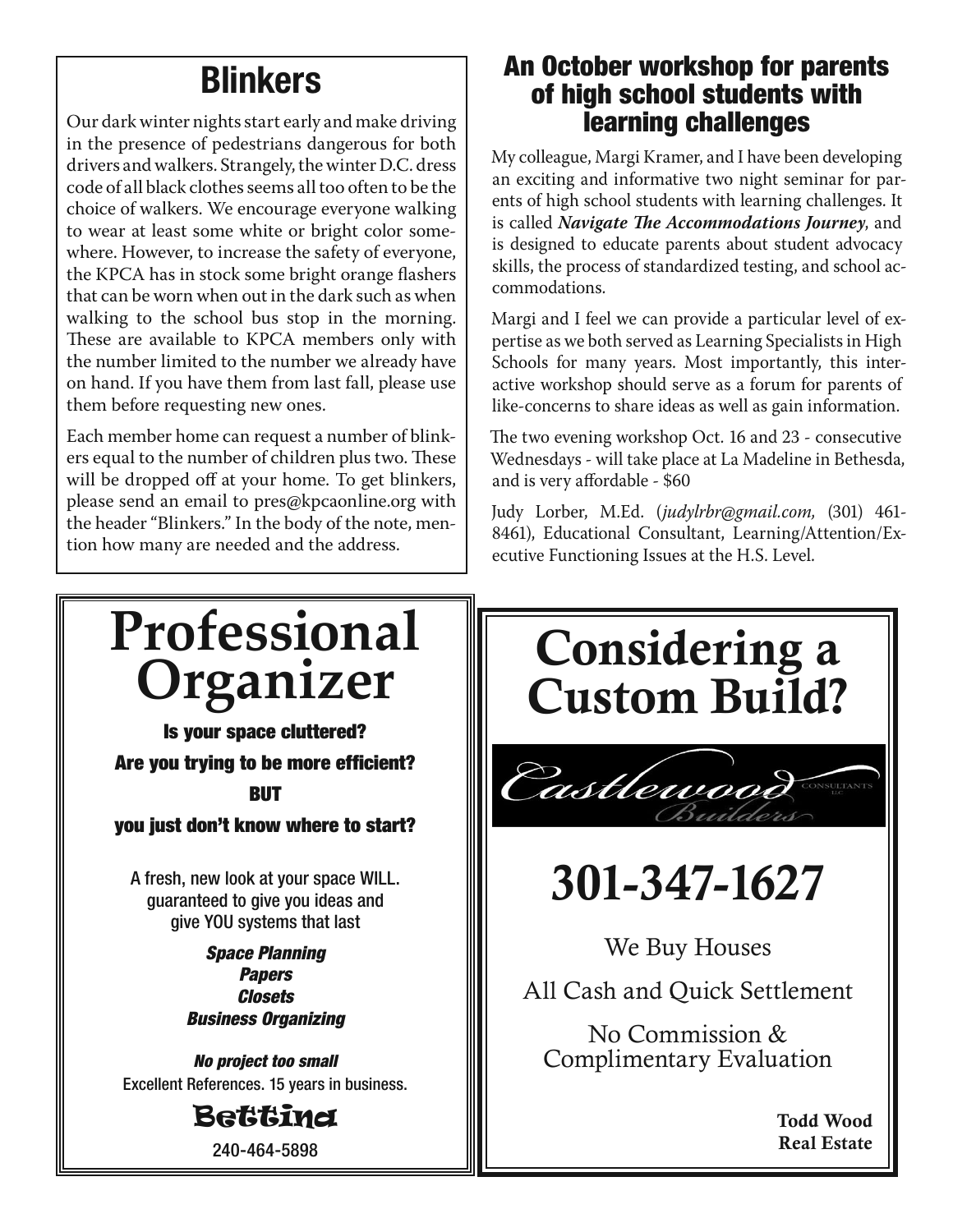## **Blinkers**

Our dark winter nights start early and make driving in the presence of pedestrians dangerous for both drivers and walkers. Strangely, the winter D.C. dress code of all black clothes seems all too often to be the choice of walkers. We encourage everyone walking to wear at least some white or bright color somewhere. However, to increase the safety of everyone, the KPCA has in stock some bright orange flashers that can be worn when out in the dark such as when walking to the school bus stop in the morning. These are available to KPCA members only with the number limited to the number we already have on hand. If you have them from last fall, please use them before requesting new ones.

Each member home can request a number of blinkers equal to the number of children plus two. These will be dropped off at your home. To get blinkers, please send an email to pres@kpcaonline.org with the header "Blinkers." In the body of the note, mention how many are needed and the address.

#### **An October workshop for parents of high school students with learning challenges**

My colleague, Margi Kramer, and I have been developing an exciting and informative two night seminar for parents of high school students with learning challenges. It is called *Navigate The Accommodations Journey*, and is designed to educate parents about student advocacy skills, the process of standardized testing, and school accommodations.

Margi and I feel we can provide a particular level of expertise as we both served as Learning Specialists in High Schools for many years. Most importantly, this interactive workshop should serve as a forum for parents of like-concerns to share ideas as well as gain information.

The two evening workshop Oct. 16 and 23 - consecutive Wednesdays - will take place at La Madeline in Bethesda, and is very affordable - \$60

Judy Lorber, M.Ed. (*judylrbr@gmail.com,* (301) 461- 8461), Educational Consultant, Learning/Attention/Executive Functioning Issues at the H.S. Level.

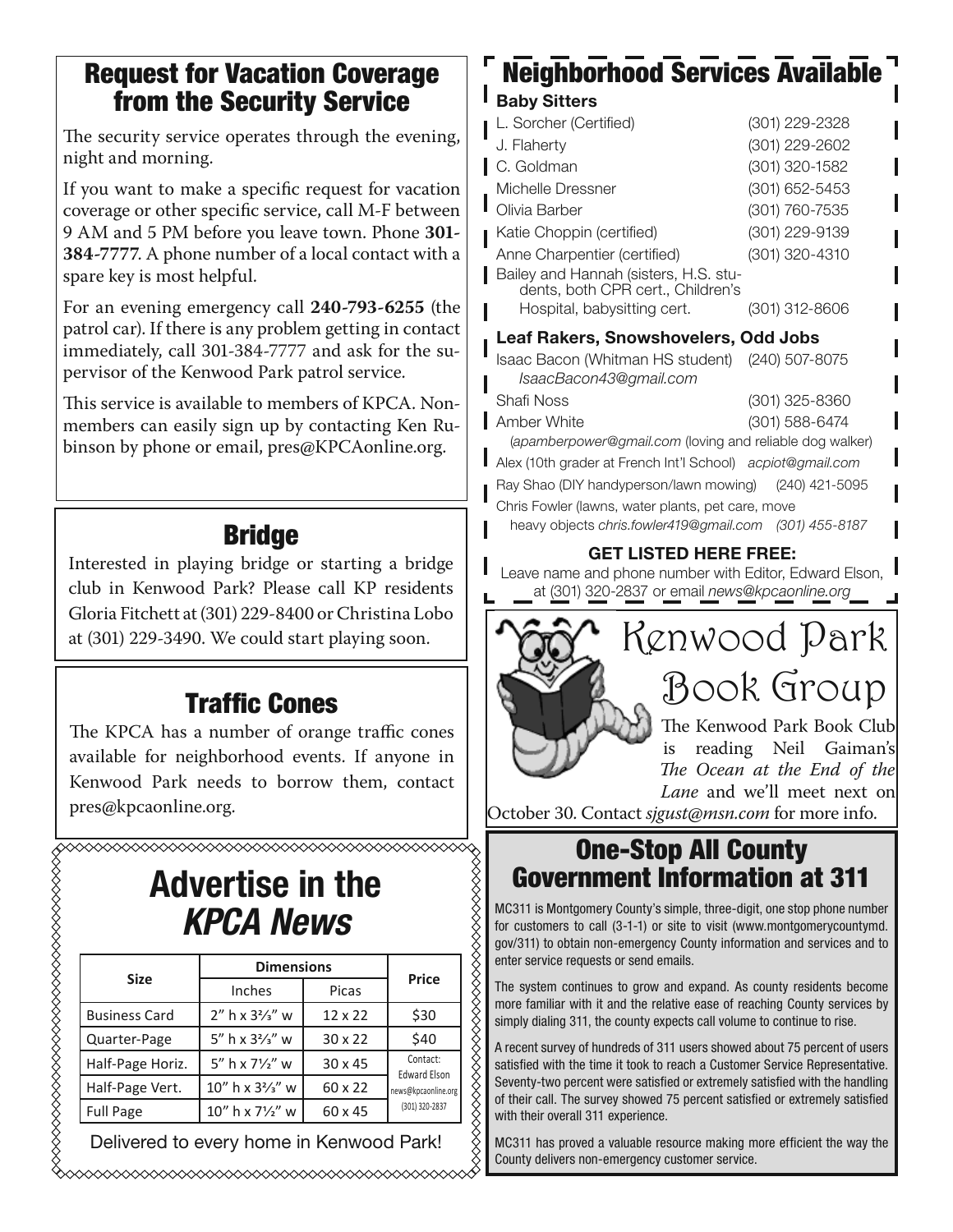#### **Request for Vacation Coverage from the Security Service**

The security service operates through the evening, night and morning.

If you want to make a specific request for vacation coverage or other specific service, call M-F between 9 AM and 5 PM before you leave town. Phone **301- 384-7777**. A phone number of a local contact with a spare key is most helpful.

For an evening emergency call **240-793-6255** (the patrol car). If there is any problem getting in contact immediately, call 301-384-7777 and ask for the supervisor of the Kenwood Park patrol service.

This service is available to members of KPCA. Nonmembers can easily sign up by contacting Ken Rubinson by phone or email, pres@KPCAonline.org.

## **Bridge**

Interested in playing bridge or starting a bridge club in Kenwood Park? Please call KP residents Gloria Fitchett at (301) 229-8400 or Christina Lobo at (301) 229-3490. We could start playing soon.

## **Traffic Cones**

The KPCA has a number of orange traffic cones available for neighborhood events. If anyone in Kenwood Park needs to borrow them, contact pres@kpcaonline.org.

# **Advertise in the**

| <b>Size</b>          | <b>Dimensions</b>                         |                |                                 |  |
|----------------------|-------------------------------------------|----------------|---------------------------------|--|
|                      | Inches                                    | Picas          | <b>Price</b>                    |  |
| <b>Business Card</b> | $2''$ h x $3\frac{2}{3}''$ w              | $12 \times 22$ | \$30                            |  |
| Quarter-Page         | 5" h x $3\frac{2}{3}$ " w                 | $30 \times 22$ | \$40                            |  |
| Half-Page Horiz.     | 5" h x $7\frac{1}{2}$ " w                 | $30 \times 45$ | Contact:<br><b>Edward Elson</b> |  |
| Half-Page Vert.      | 10" h x 3 <sup>2</sup> / <sub>3</sub> " w | 60 x 22        | news@kpcaonline.org             |  |
| <b>Full Page</b>     | 10" h x 71/2" w                           | 60 x 45        | (301) 320-2837                  |  |

Delivered to every home in Kenwood Park!

## **Neighborhood Services Available Baby Sitters**

| L. Sorcher (Certified)                                                     | (301) 229-2328 |  |  |  |
|----------------------------------------------------------------------------|----------------|--|--|--|
| J. Flaherty                                                                | (301) 229-2602 |  |  |  |
| C. Goldman                                                                 | (301) 320-1582 |  |  |  |
| Michelle Dressner                                                          | (301) 652-5453 |  |  |  |
| Olivia Barber                                                              | (301) 760-7535 |  |  |  |
| Katie Choppin (certified)                                                  | (301) 229-9139 |  |  |  |
| Anne Charpentier (certified)                                               | (301) 320-4310 |  |  |  |
| Bailey and Hannah (sisters, H.S. stu-<br>dents, both CPR cert., Children's |                |  |  |  |
| Hospital, babysitting cert.                                                | (301) 312-8606 |  |  |  |
| <b>Leaf Rakers, Snowshovelers, Odd Jobs</b>                                |                |  |  |  |
| Isaac Bacon (Whitman HS student) (240) 507-8075<br>IsaacBacon43@amail.com  |                |  |  |  |

Shafi Noss (301) 325-8360 **Amber White (301) 588-6474** (apamberpower@gmail.com (loving and reliable dog walker)

Alex (10th grader at French Int'l School) acpiot@gmail.com<br>Rav Shao (DIY handvperson/lawn mowing) (240) 421-5095 Ray Shao (DIY handyperson/lawn mowing) Chris Fowler (lawns, water plants, pet care, move

heavy objects chris.fowler419@gmail.com (301) 455-8187

#### **GET LISTED HERE FREE:**

Leave name and phone number with Editor, Edward Elson, at (301) 320-2837 or email news@kpcaonline.org



is reading Neil Gaiman's *The Ocean at the End of the Lane* and we'll meet next on

October 30. Contact *sjgust@msn.com* for more info.

#### **One-Stop All County Government Information at 311**

MC311 is Montgomery County's simple, three-digit, one stop phone number for customers to call (3-1-1) or site to visit (www.montgomerycountymd. gov/311) to obtain non-emergency County information and services and to enter service requests or send emails.

The system continues to grow and expand. As county residents become more familiar with it and the relative ease of reaching County services by simply dialing 311, the county expects call volume to continue to rise.

A recent survey of hundreds of 311 users showed about 75 percent of users satisfied with the time it took to reach a Customer Service Representative. Seventy-two percent were satisfied or extremely satisfied with the handling of their call. The survey showed 75 percent satisfied or extremely satisfied with their overall 311 experience.

MC311 has proved a valuable resource making more efficient the way the County delivers non-emergency customer service.